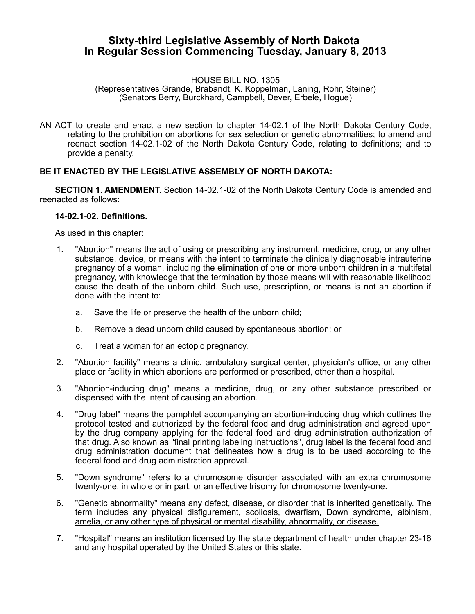## **Sixty-third Legislative Assembly of North Dakota In Regular Session Commencing Tuesday, January 8, 2013**

HOUSE BILL NO. 1305

(Representatives Grande, Brabandt, K. Koppelman, Laning, Rohr, Steiner) (Senators Berry, Burckhard, Campbell, Dever, Erbele, Hogue)

AN ACT to create and enact a new section to chapter 14-02.1 of the North Dakota Century Code, relating to the prohibition on abortions for sex selection or genetic abnormalities; to amend and reenact section 14-02.1-02 of the North Dakota Century Code, relating to definitions; and to provide a penalty.

## **BE IT ENACTED BY THE LEGISLATIVE ASSEMBLY OF NORTH DAKOTA:**

**SECTION 1. AMENDMENT.** Section 14-02.1-02 of the North Dakota Century Code is amended and reenacted as follows:

## **14-02.1-02. Definitions.**

As used in this chapter:

- 1. "Abortion" means the act of using or prescribing any instrument, medicine, drug, or any other substance, device, or means with the intent to terminate the clinically diagnosable intrauterine pregnancy of a woman, including the elimination of one or more unborn children in a multifetal pregnancy, with knowledge that the termination by those means will with reasonable likelihood cause the death of the unborn child. Such use, prescription, or means is not an abortion if done with the intent to:
	- a. Save the life or preserve the health of the unborn child;
	- b. Remove a dead unborn child caused by spontaneous abortion; or
	- c. Treat a woman for an ectopic pregnancy.
- 2. "Abortion facility" means a clinic, ambulatory surgical center, physician's office, or any other place or facility in which abortions are performed or prescribed, other than a hospital.
- 3. "Abortion-inducing drug" means a medicine, drug, or any other substance prescribed or dispensed with the intent of causing an abortion.
- 4. "Drug label" means the pamphlet accompanying an abortion-inducing drug which outlines the protocol tested and authorized by the federal food and drug administration and agreed upon by the drug company applying for the federal food and drug administration authorization of that drug. Also known as "final printing labeling instructions", drug label is the federal food and drug administration document that delineates how a drug is to be used according to the federal food and drug administration approval.
- 5. "Down syndrome" refers to a chromosome disorder associated with an extra chromosome twenty-one, in whole or in part, or an effective trisomy for chromosome twenty-one.
- 6. "Genetic abnormality" means any defect, disease, or disorder that is inherited genetically. The term includes any physical disfigurement, scoliosis, dwarfism, Down syndrome, albinism, amelia, or any other type of physical or mental disability, abnormality, or disease.
- 7. "Hospital" means an institution licensed by the state department of health under chapter 23-16 and any hospital operated by the United States or this state.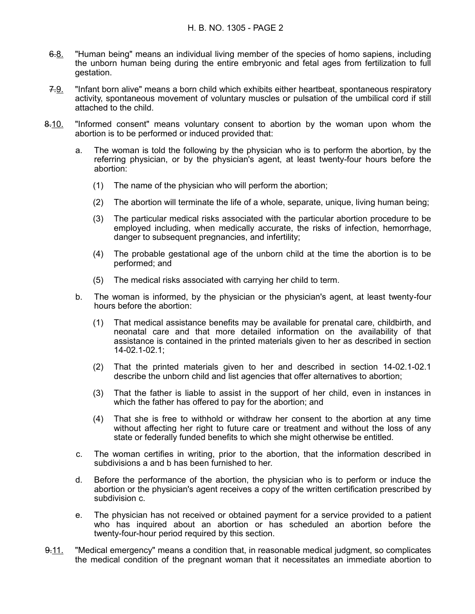- 6.8. "Human being" means an individual living member of the species of homo sapiens, including the unborn human being during the entire embryonic and fetal ages from fertilization to full gestation.
- 7.9. "Infant born alive" means a born child which exhibits either heartbeat, spontaneous respiratory activity, spontaneous movement of voluntary muscles or pulsation of the umbilical cord if still attached to the child.
- 8.10. "Informed consent" means voluntary consent to abortion by the woman upon whom the abortion is to be performed or induced provided that:
	- a. The woman is told the following by the physician who is to perform the abortion, by the referring physician, or by the physician's agent, at least twenty-four hours before the abortion:
		- (1) The name of the physician who will perform the abortion;
		- (2) The abortion will terminate the life of a whole, separate, unique, living human being;
		- (3) The particular medical risks associated with the particular abortion procedure to be employed including, when medically accurate, the risks of infection, hemorrhage, danger to subsequent pregnancies, and infertility;
		- (4) The probable gestational age of the unborn child at the time the abortion is to be performed; and
		- (5) The medical risks associated with carrying her child to term.
	- b. The woman is informed, by the physician or the physician's agent, at least twenty-four hours before the abortion:
		- (1) That medical assistance benefits may be available for prenatal care, childbirth, and neonatal care and that more detailed information on the availability of that assistance is contained in the printed materials given to her as described in section 14-02.1-02.1;
		- (2) That the printed materials given to her and described in section 14-02.1-02.1 describe the unborn child and list agencies that offer alternatives to abortion;
		- (3) That the father is liable to assist in the support of her child, even in instances in which the father has offered to pay for the abortion; and
		- (4) That she is free to withhold or withdraw her consent to the abortion at any time without affecting her right to future care or treatment and without the loss of any state or federally funded benefits to which she might otherwise be entitled.
	- c. The woman certifies in writing, prior to the abortion, that the information described in subdivisions a and b has been furnished to her.
	- d. Before the performance of the abortion, the physician who is to perform or induce the abortion or the physician's agent receives a copy of the written certification prescribed by subdivision c.
	- e. The physician has not received or obtained payment for a service provided to a patient who has inquired about an abortion or has scheduled an abortion before the twenty-four-hour period required by this section.
- 9.11. "Medical emergency" means a condition that, in reasonable medical judgment, so complicates the medical condition of the pregnant woman that it necessitates an immediate abortion to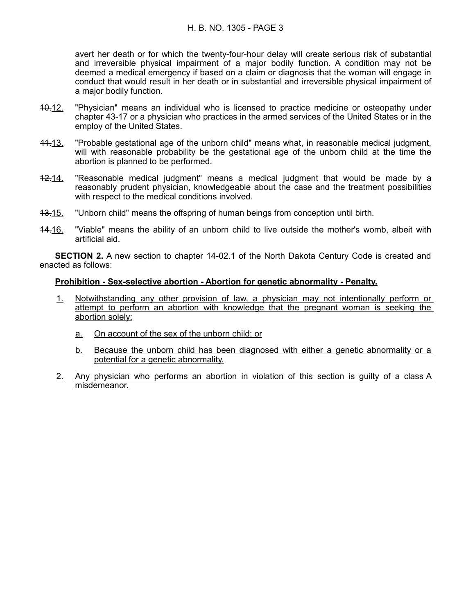avert her death or for which the twenty-four-hour delay will create serious risk of substantial and irreversible physical impairment of a major bodily function. A condition may not be deemed a medical emergency if based on a claim or diagnosis that the woman will engage in conduct that would result in her death or in substantial and irreversible physical impairment of a major bodily function.

- 10.12. "Physician" means an individual who is licensed to practice medicine or osteopathy under chapter 43-17 or a physician who practices in the armed services of the United States or in the employ of the United States.
- 11.13. "Probable gestational age of the unborn child" means what, in reasonable medical judgment, will with reasonable probability be the gestational age of the unborn child at the time the abortion is planned to be performed.
- 12.14. "Reasonable medical judgment" means a medical judgment that would be made by a reasonably prudent physician, knowledgeable about the case and the treatment possibilities with respect to the medical conditions involved.
- 13.15. "Unborn child" means the offspring of human beings from conception until birth.
- 14.16. "Viable" means the ability of an unborn child to live outside the mother's womb, albeit with artificial aid.

**SECTION 2.** A new section to chapter 14-02.1 of the North Dakota Century Code is created and enacted as follows:

## **Prohibition - Sex-selective abortion - Abortion for genetic abnormality - Penalty.**

- 1. Notwithstanding any other provision of law, a physician may not intentionally perform or attempt to perform an abortion with knowledge that the pregnant woman is seeking the abortion solely:
	- a. On account of the sex of the unborn child; or
	- b. Because the unborn child has been diagnosed with either a genetic abnormality or a potential for a genetic abnormality.
- 2. Any physician who performs an abortion in violation of this section is guilty of a class A misdemeanor.